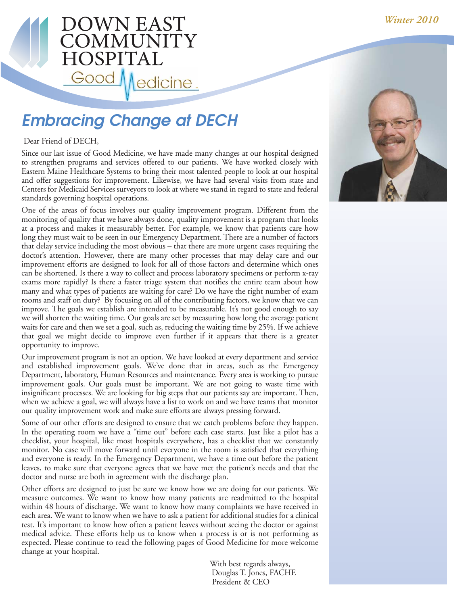## **OWN EAST DMMUNIT** HOSPITA Good edicine.

# **Embracing Change at DECH**

#### Dear Friend of DECH,

Since our last issue of Good Medicine, we have made many changes at our hospital designed to strengthen programs and services offered to our patients. We have worked closely with Eastern Maine Healthcare Systems to bring their most talented people to look at our hospital and offer suggestions for improvement. Likewise, we have had several visits from state and Centers for Medicaid Services surveyors to look at where we stand in regard to state and federal standards governing hospital operations.

One of the areas of focus involves our quality improvement program. Different from the monitoring of quality that we have always done, quality improvement is a program that looks at a process and makes it measurably better. For example, we know that patients care how long they must wait to be seen in our Emergency Department. There are a number of factors that delay service including the most obvious – that there are more urgent cases requiring the doctor's attention. However, there are many other processes that may delay care and our improvement efforts are designed to look for all of those factors and determine which ones can be shortened. Is there a way to collect and process laboratory specimens or perform x-ray exams more rapidly? Is there a faster triage system that notifies the entire team about how many and what types of patients are waiting for care? Do we have the right number of exam rooms and staff on duty? By focusing on all of the contributing factors, we know that we can improve. The goals we establish are intended to be measurable. It's not good enough to say we will shorten the waiting time. Our goals are set by measuring how long the average patient waits for care and then we set a goal, such as, reducing the waiting time by 25%. If we achieve that goal we might decide to improve even further if it appears that there is a greater opportunity to improve.

Our improvement program is not an option. We have looked at every department and service and established improvement goals. We've done that in areas, such as the Emergency Department, laboratory, Human Resources and maintenance. Every area is working to pursue improvement goals. Our goals must be important. We are not going to waste time with insignificant processes. We are looking for big steps that our patients say are important. Then, when we achieve a goal, we will always have a list to work on and we have teams that monitor our quality improvement work and make sure efforts are always pressing forward.

Some of our other efforts are designed to ensure that we catch problems before they happen. In the operating room we have a "time out" before each case starts. Just like a pilot has a checklist, your hospital, like most hospitals everywhere, has a checklist that we constantly monitor. No case will move forward until everyone in the room is satisfied that everything and everyone is ready. In the Emergency Department, we have a time out before the patient leaves, to make sure that everyone agrees that we have met the patient's needs and that the doctor and nurse are both in agreement with the discharge plan.

Other efforts are designed to just be sure we know how we are doing for our patients. We measure outcomes. We want to know how many patients are readmitted to the hospital within 48 hours of discharge. We want to know how many complaints we have received in each area. We want to know when we have to ask a patient for additional studies for a clinical test. It's important to know how often a patient leaves without seeing the doctor or against medical advice. These efforts help us to know when a process is or is not performing as expected. Please continue to read the following pages of Good Medicine for more welcome change at your hospital.

> With best regards always, Douglas T. Jones, FACHE President & CEO

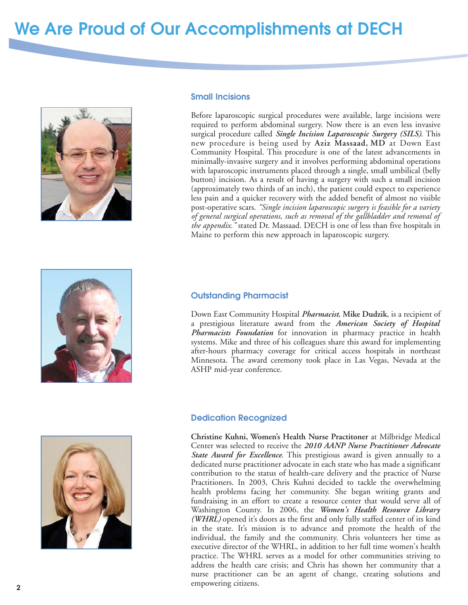# **We Are Proud of Our Accomplishments at DECH**



#### **Small Incisions**

Before laparoscopic surgical procedures were available, large incisions were required to perform abdominal surgery. Now there is an even less invasive surgical procedure called *Single Incision Laparoscopic Surgery (SILS)*. This new procedure is being used by **Aziz Massaad, MD** at Down East Community Hospital. This procedure is one of the latest advancements in minimally-invasive surgery and it involves performing abdominal operations with laparoscopic instruments placed through a single, small umbilical (belly button) incision. As a result of having a surgery with such a small incision (approximately two thirds of an inch), the patient could expect to experience less pain and a quicker recovery with the added benefit of almost no visible post-operative scars. *"Single incision laparoscopic surgery is feasible for a variety of general surgical operations, such as removal of the gallbladder and removal of the appendix."* stated Dr. Massaad. DECH is one of less than five hospitals in Maine to perform this new approach in laparoscopic surgery.





#### **Outstanding Pharmacist**

Down East Community Hospital *Pharmacist*, **Mike Dudzik**, is a recipient of a prestigious literature award from the *American Society of Hospital Pharmacists Foundation* for innovation in pharmacy practice in health systems. Mike and three of his colleagues share this award for implementing after-hours pharmacy coverage for critical access hospitals in northeast Minnesota. The award ceremony took place in Las Vegas, Nevada at the ASHP mid-year conference.

#### **Dedication Recognized**

**Christine Kuhni, Women's Health Nurse Practitoner** at Milbridge Medical Center was selected to receive the *2010 AANP Nurse Practitioner Advocate State Award for Excellence*. This prestigious award is given annually to a dedicated nurse practitioner advocate in each state who has made a significant contribution to the status of health-care delivery and the practice of Nurse Practitioners. In 2003, Chris Kuhni decided to tackle the overwhelming health problems facing her community. She began writing grants and fundraising in an effort to create a resource center that would serve all of Washington County. In 2006, the *Women's Health Resource Library (WHRL)* opened it's doors as the first and only fully staffed center of its kind in the state. It's mission is to advance and promote the health of the individual, the family and the community. Chris volunteers her time as executive director of the WHRL, in addition to her full time women's health practice. The WHRL serves as a model for other communities striving to address the health care crisis; and Chris has shown her community that a nurse practitioner can be an agent of change, creating solutions and empowering citizens.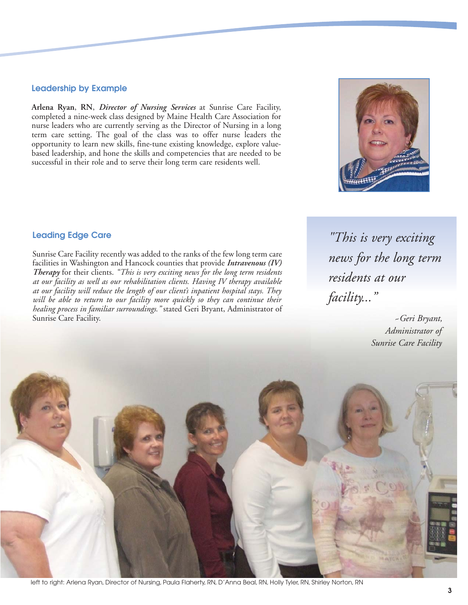#### **Leadership by Example**

**Arlena Ryan**, **RN**, *Director of Nursing Services* at Sunrise Care Facility, completed a nine-week class designed by Maine Health Care Association for nurse leaders who are currently serving as the Director of Nursing in a long term care setting. The goal of the class was to offer nurse leaders the opportunity to learn new skills, fine-tune existing knowledge, explore valuebased leadership, and hone the skills and competencies that are needed to be successful in their role and to serve their long term care residents well.



*"This is very exciting news for the long term residents at our facility..."*

## **Leading Edge Care**

Sunrise Care Facility recently was added to the ranks of the few long term care facilities in Washington and Hancock counties that provide *Intravenous (IV) Therapy* for their clients. *"This is very exciting news for the long term residents at our facility as well as our rehabilitation clients. Having IV therapy available at our facility will reduce the length of our client's inpatient hospital stays. They will be able to return to our facility more quickly so they can continue their healing process in familiar surroundings."* stated Geri Bryant, Administrator of Sunrise Care Facility.

*~Geri Bryant, Administrator of Sunrise Care Facility*



left to right: Arlena Ryan, Director of Nursing, Paula Flaherty, RN, D'Anna Beal, RN, Holly Tyler, RN, Shirley Norton, RN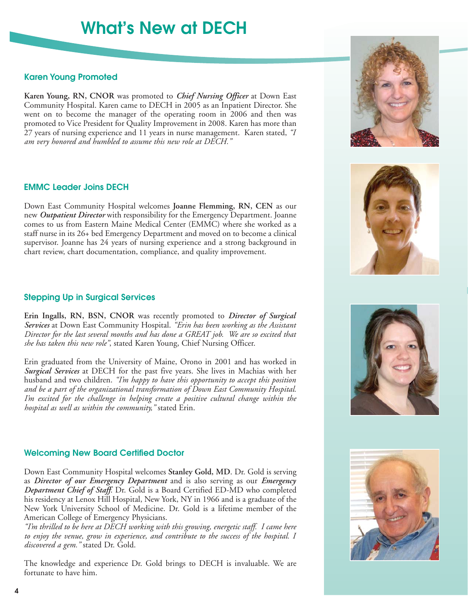# **What's New at DECH**

#### **Karen Young Promoted**

**Karen Young, RN, CNOR** was promoted to *Chief Nursing Officer* at Down East Community Hospital. Karen came to DECH in 2005 as an Inpatient Director. She went on to become the manager of the operating room in 2006 and then was promoted to Vice President for Quality Improvement in 2008. Karen has more than 27 years of nursing experience and 11 years in nurse management. Karen stated, *"I am very honored and humbled to assume this new role at DECH."*

#### **EMMC Leader Joins DECH**

Down East Community Hospital welcomes **Joanne Flemming, RN, CEN** as our new *Outpatient Director* with responsibility for the Emergency Department. Joanne comes to us from Eastern Maine Medical Center (EMMC) where she worked as a staff nurse in its 26+ bed Emergency Department and moved on to become a clinical supervisor. Joanne has 24 years of nursing experience and a strong background in chart review, chart documentation, compliance, and quality improvement.

#### **Stepping Up in Surgical Services**

**Erin Ingalls, RN, BSN, CNOR** was recently promoted to *Director of Surgical Services* at Down East Community Hospital. *"Erin has been working as the Assistant Director for the last several months and has done a GREAT job. We are so excited that she has taken this new role"*, stated Karen Young, Chief Nursing Officer.

Erin graduated from the University of Maine, Orono in 2001 and has worked in *Surgical Services* at DECH for the past five years. She lives in Machias with her husband and two children. *"I'm happy to have this opportunity to accept this position and be a part of the organizational transformation of Down East Community Hospital. I'm excited for the challenge in helping create a positive cultural change within the hospital as well as within the community,"* stated Erin.

#### **Welcoming New Board Certified Doctor**

Down East Community Hospital welcomes **Stanley Gold, MD**. Dr. Gold is serving as *Director of our Emergency Department* and is also serving as our *Emergency Department Chief of Staff*. Dr. Gold is a Board Certified ED-MD who completed his residency at Lenox Hill Hospital, New York, NY in 1966 and is a graduate of the New York University School of Medicine. Dr. Gold is a lifetime member of the American College of Emergency Physicians.

*"I'm thrilled to be here at DECH working with this growing, energetic staff. I came here to enjoy the venue, grow in experience, and contribute to the success of the hospital. I discovered a gem."* stated Dr. Gold.

The knowledge and experience Dr. Gold brings to DECH is invaluable. We are fortunate to have him.









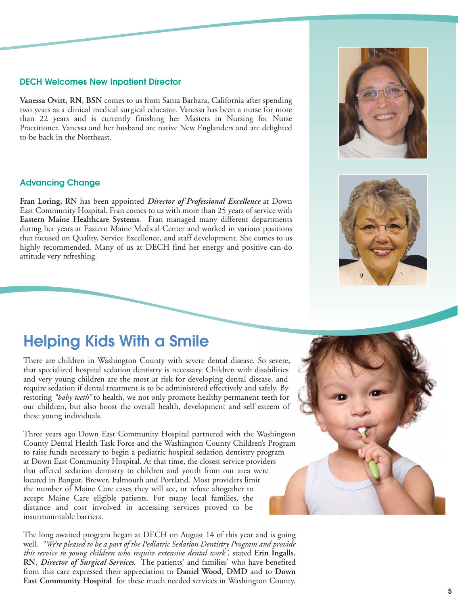#### **DECH Welcomes New Inpatient Director**

**Vanessa Ovitt, RN, BSN** comes to us from Santa Barbara, California after spending two years as a clinical medical surgical educator. Vanessa has been a nurse for more than 22 years and is currently finishing her Masters in Nursing for Nurse Practitioner. Vanessa and her husband are native New Englanders and are delighted to be back in the Northeast.

#### **Advancing Change**

**Fran Loring, RN** has been appointed *Director of Professional Excellence* at Down East Community Hospital. Fran comes to us with more than 25 years of service with **Eastern Maine Healthcare Systems**. Fran managed many different departments during her years at Eastern Maine Medical Center and worked in various positions that focused on Quality, Service Excellence, and staff development. She comes to us highly recommended. Many of us at DECH find her energy and positive can-do attitude very refreshing.

## **Helping Kids With a Smile**

There are children in Washington County with severe dental disease. So severe, that specialized hospital sedation dentistry is necessary. Children with disabilities and very young children are the most at risk for developing dental disease, and require sedation if dental treatment is to be administered effectively and safely. By restoring *"baby teeth"* to health, we not only promote healthy permanent teeth for our children, but also boost the overall health, development and self esteem of these young individuals.

Three years ago Down East Community Hospital partnered with the Washington County Dental Health Task Force and the Washington County Children's Program to raise funds necessary to begin a pediatric hospital sedation dentistry program at Down East Community Hospital. At that time, the closest service providers that offered sedation dentistry to children and youth from our area were located in Bangor, Brewer, Falmouth and Portland. Most providers limit the number of Maine Care cases they will see, or refuse altogether to accept Maine Care eligible patients. For many local families, the distance and cost involved in accessing services proved to be insurmountable barriers.

The long awaited program began at DECH on August 14 of this year and is going well. *"We're pleased to be a part of the Pediatric Sedation Dentistry Program and provide this service to young children who require extensive dental work"*, stated **Erin Ingalls**, **RN**, *Director of Surgical Services*. The patients' and families' who have benefited from this care expressed their appreciation to **Daniel Wood**, **DMD** and to **Down East Community Hospital** for these much needed services in Washington County.







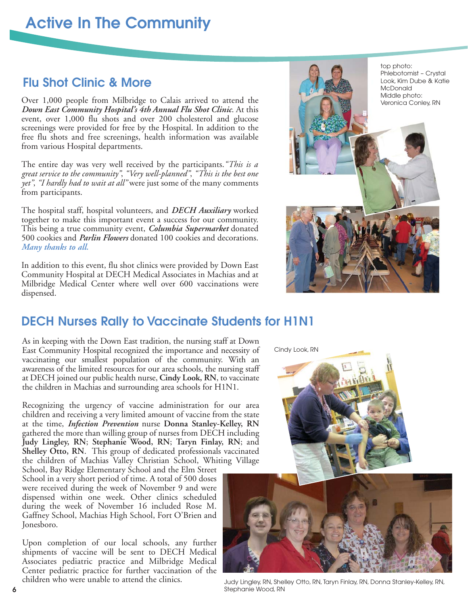# **Active In The Community**

## **Flu Shot Clinic & More**

Over 1,000 people from Milbridge to Calais arrived to attend the *Down East Community Hospital's 4th Annual Flu Shot Clinic*. At this event, over 1,000 flu shots and over 200 cholesterol and glucose screenings were provided for free by the Hospital. In addition to the free flu shots and free screenings, health information was available from various Hospital departments.

The entire day was very well received by the participants.*"This is a great service to the community"*, *"Very well-planned"*, *"This is the best one yet"*, *"I hardly had to wait at all"* were just some of the many comments from participants.

The hospital staff, hospital volunteers, and *DECH Auxiliary* worked together to make this important event a success for our community. This being a true community event, *Columbia Supermarket* donated 500 cookies and *Parlin Flowers* donated 100 cookies and decorations. *Many thanks to all.*

In addition to this event, flu shot clinics were provided by Down East Community Hospital at DECH Medical Associates in Machias and at Milbridge Medical Center where well over 600 vaccinations were dispensed.



## **DECH Nurses Rally to Vaccinate Students for H1N1**

As in keeping with the Down East tradition, the nursing staff at Down East Community Hospital recognized the importance and necessity of vaccinating our smallest population of the community. With an awareness of the limited resources for our area schools, the nursing staff at DECH joined our public health nurse, **Cindy Look, RN**, to vaccinate the children in Machias and surrounding area schools for H1N1.

Recognizing the urgency of vaccine administration for our area children and receiving a very limited amount of vaccine from the state at the time, *Infection Prevention* nurse **Donna Stanley-Kelley, RN** gathered the more than willing group of nurses from DECH including **Judy Lingley, RN**; **Stephanie Wood, RN**; **Taryn Finlay, RN**; and **Shelley Otto, RN**. This group of dedicated professionals vaccinated the children of Machias Valley Christian School, Whiting Village

School, Bay Ridge Elementary School and the Elm Street School in a very short period of time. A total of 500 doses were received during the week of November 9 and were dispensed within one week. Other clinics scheduled during the week of November 16 included Rose M. Gaffney School, Machias High School, Fort O'Brien and Jonesboro.

Upon completion of our local schools, any further shipments of vaccine will be sent to DECH Medical Associates pediatric practice and Milbridge Medical Center pediatric practice for further vaccination of the children who were unable to attend the clinics.

Cindy Look, RN



Judy Lingley, RN, Shelley Otto, RN, Taryn Finlay, RN, Donna Stanley-Kelley, RN, Stephanie Wood, RN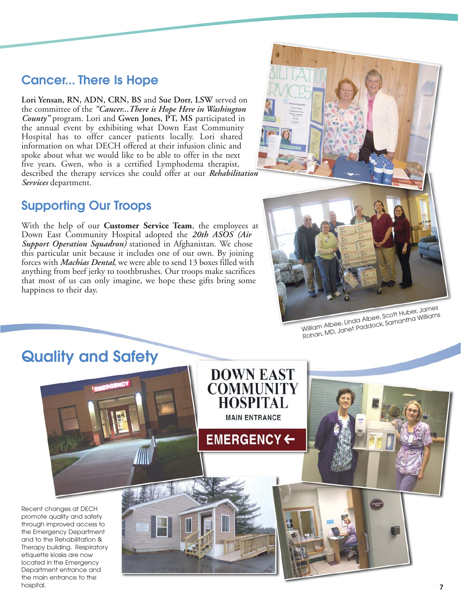### **Cancer... There Is Hope**

**Lori Yensan, RN, ADN, CRN, BS** and **Sue Dorr, LSW** served on the committee of the *"Cancer...There is Hope Here in Washington County"* program. Lori and **Gwen Jones, PT, MS** participated in the annual event by exhibiting what Down East Community Hospital has to offer cancer patients locally. Lori shared information on what DECH offered at their infusion clinic and spoke about what we would like to be able to offer in the next five years. Gwen, who is a certified Lymphodema therapist, described the therapy services she could offer at our *Rehabilitation Services* department.

### **Supporting Our Troops**

With the help of our **Customer Service Team**, the employees at Down East Community Hospital adopted the *20th ASOS (Air Support Operation Squadron)* stationed in Afghanistan. We chose this particular unit because it includes one of our own. By joining forces with *Machias Dental*, we were able to send 13 boxes filled with anything from beef jerky to toothbrushes. Our troops make sacrifices that most of us can only imagine, we hope these gifts bring some happiness to their day.



William Albee, Linda Albee, Scott Huber, James William Changes, Anticox, Social Anticox, Samantha Williams<br>Rohan, MD, Janet Paddock, Samantha Williams